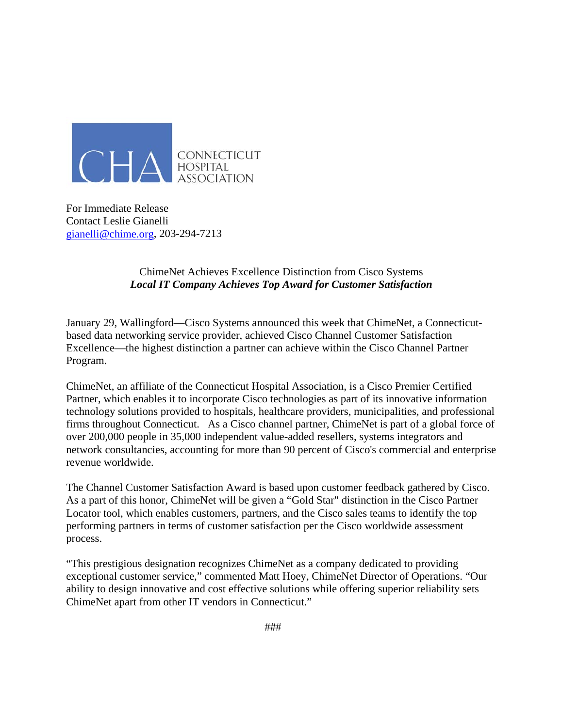

For Immediate Release Contact Leslie Gianelli gianelli@chime.org, 203-294-7213

> ChimeNet Achieves Excellence Distinction from Cisco Systems *Local IT Company Achieves Top Award for Customer Satisfaction*

January 29, Wallingford—Cisco Systems announced this week that ChimeNet, a Connecticutbased data networking service provider, achieved Cisco Channel Customer Satisfaction Excellence—the highest distinction a partner can achieve within the Cisco Channel Partner Program.

ChimeNet, an affiliate of the Connecticut Hospital Association, is a Cisco Premier Certified Partner, which enables it to incorporate Cisco technologies as part of its innovative information technology solutions provided to hospitals, healthcare providers, municipalities, and professional firms throughout Connecticut. As a Cisco channel partner, ChimeNet is part of a global force of over 200,000 people in 35,000 independent value-added resellers, systems integrators and network consultancies, accounting for more than 90 percent of Cisco's commercial and enterprise revenue worldwide.

The Channel Customer Satisfaction Award is based upon customer feedback gathered by Cisco. As a part of this honor, ChimeNet will be given a "Gold Star" distinction in the Cisco Partner Locator tool, which enables customers, partners, and the Cisco sales teams to identify the top performing partners in terms of customer satisfaction per the Cisco worldwide assessment process.

"This prestigious designation recognizes ChimeNet as a company dedicated to providing exceptional customer service," commented Matt Hoey, ChimeNet Director of Operations. "Our ability to design innovative and cost effective solutions while offering superior reliability sets ChimeNet apart from other IT vendors in Connecticut."